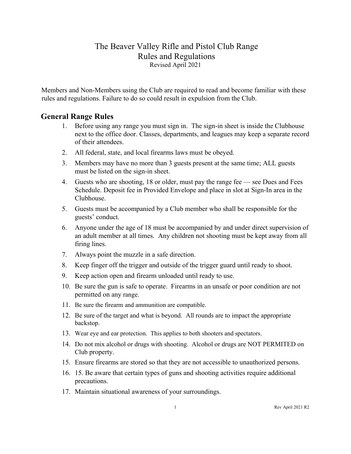## The Beaver Valley Rifle and Pistol Club Range Rules and Regulations Revised April 2021

Members and Non-Members using the Club are required to read and become familiar with these rules and regulations. Failure to do so could result in expulsion from the Club.

#### **General Range Rules**

- 1. Before using any range you must sign in. The sign-in sheet is inside the Clubhouse next to the office door. Classes, departments, and leagues may keep a separate record of their attendees.
- 2. All federal, state, and local firearms laws must be obeyed.
- 3. Members may have no more than 3 guests present at the same time; ALL guests must be listed on the sign-in sheet.
- 4. Guests who are shooting, 18 or older, must pay the range fee see Dues and Fees Schedule. Deposit fee in Provided Envelope and place in slot at Sign-In area in the Clubhouse.
- 5. Guests must be accompanied by a Club member who shall be responsible for the guests' conduct.
- 6. Anyone under the age of 18 must be accompanied by and under direct supervision of an adult member at all times. Any children not shooting must be kept away from all firing lines.
- 7. Always point the muzzle in a safe direction.
- 8. Keep finger off the trigger and outside of the trigger guard until ready to shoot.
- 9. Keep action open and firearm unloaded until ready to use.
- 10. Be sure the gun is safe to operate. Firearms in an unsafe or poor condition are not permitted on any range.
- 11. Be sure the firearm and ammunition are compatible.
- 12. Be sure of the target and what is beyond. All rounds are to impact the appropriate backstop.
- 13. Wear eye and ear protection. This applies to both shooters and spectators.
- 14. Do not mix alcohol or drugs with shooting. Alcohol or drugs are NOT PERMITED on Club property.
- 15. Ensure firearms are stored so that they are not accessible to unauthorized persons.
- 16. 15. Be aware that certain types of guns and shooting activities require additional precautions.
- 17. Maintain situational awareness of your surroundings.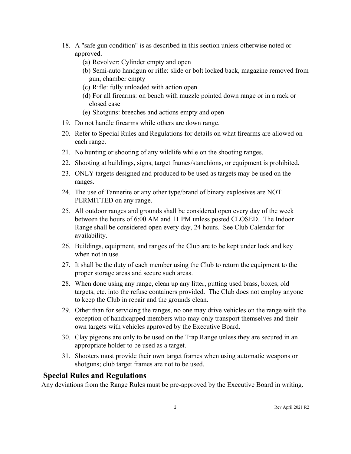- 18. A "safe gun condition" is as described in this section unless otherwise noted or approved.
	- (a) Revolver: Cylinder empty and open
	- (b) Semi-auto handgun or rifle: slide or bolt locked back, magazine removed from gun, chamber empty
	- (c) Rifle: fully unloaded with action open
	- (d) For all firearms: on bench with muzzle pointed down range or in a rack or closed case
	- (e) Shotguns: breeches and actions empty and open
- 19. Do not handle firearms while others are down range.
- 20. Refer to Special Rules and Regulations for details on what firearms are allowed on each range.
- 21. No hunting or shooting of any wildlife while on the shooting ranges.
- 22. Shooting at buildings, signs, target frames/stanchions, or equipment is prohibited.
- 23. ONLY targets designed and produced to be used as targets may be used on the ranges.
- 24. The use of Tannerite or any other type/brand of binary explosives are NOT PERMITTED on any range.
- 25. All outdoor ranges and grounds shall be considered open every day of the week between the hours of 6:00 AM and 11 PM unless posted CLOSED. The Indoor Range shall be considered open every day, 24 hours. See Club Calendar for availability.
- 26. Buildings, equipment, and ranges of the Club are to be kept under lock and key when not in use.
- 27. It shall be the duty of each member using the Club to return the equipment to the proper storage areas and secure such areas.
- 28. When done using any range, clean up any litter, putting used brass, boxes, old targets, etc. into the refuse containers provided. The Club does not employ anyone to keep the Club in repair and the grounds clean.
- 29. Other than for servicing the ranges, no one may drive vehicles on the range with the exception of handicapped members who may only transport themselves and their own targets with vehicles approved by the Executive Board.
- 30. Clay pigeons are only to be used on the Trap Range unless they are secured in an appropriate holder to be used as a target.
- 31. Shooters must provide their own target frames when using automatic weapons or shotguns; club target frames are not to be used.

## **Special Rules and Regulations**

Any deviations from the Range Rules must be pre-approved by the Executive Board in writing.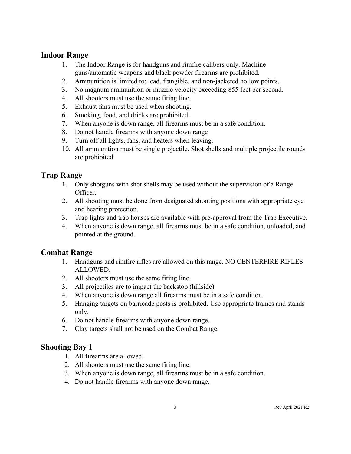#### **Indoor Range**

- 1. The Indoor Range is for handguns and rimfire calibers only. Machine guns/automatic weapons and black powder firearms are prohibited.
- 2. Ammunition is limited to: lead, frangible, and non-jacketed hollow points.
- 3. No magnum ammunition or muzzle velocity exceeding 855 feet per second.
- 4. All shooters must use the same firing line.
- 5. Exhaust fans must be used when shooting.
- 6. Smoking, food, and drinks are prohibited.
- 7. When anyone is down range, all firearms must be in a safe condition.
- 8. Do not handle firearms with anyone down range
- 9. Turn off all lights, fans, and heaters when leaving.
- 10. All ammunition must be single projectile. Shot shells and multiple projectile rounds are prohibited.

# **Trap Range**

- 1. Only shotguns with shot shells may be used without the supervision of a Range Officer.
- 2. All shooting must be done from designated shooting positions with appropriate eye and hearing protection.
- 3. Trap lights and trap houses are available with pre-approval from the Trap Executive.
- 4. When anyone is down range, all firearms must be in a safe condition, unloaded, and pointed at the ground.

## **Combat Range**

- 1. Handguns and rimfire rifles are allowed on this range. NO CENTERFIRE RIFLES ALLOWED.
- 2. All shooters must use the same firing line.
- 3. All projectiles are to impact the backstop (hillside).
- 4. When anyone is down range all firearms must be in a safe condition.
- 5. Hanging targets on barricade posts is prohibited. Use appropriate frames and stands only.
- 6. Do not handle firearms with anyone down range.
- 7. Clay targets shall not be used on the Combat Range.

# **Shooting Bay 1**

- 1. All firearms are allowed.
- 2. All shooters must use the same firing line.
- 3. When anyone is down range, all firearms must be in a safe condition.
- 4. Do not handle firearms with anyone down range.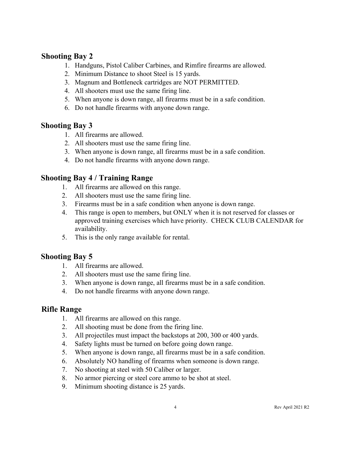### **Shooting Bay 2**

- 1. Handguns, Pistol Caliber Carbines, and Rimfire firearms are allowed.
- 2. Minimum Distance to shoot Steel is 15 yards.
- 3. Magnum and Bottleneck cartridges are NOT PERMITTED.
- 4. All shooters must use the same firing line.
- 5. When anyone is down range, all firearms must be in a safe condition.
- 6. Do not handle firearms with anyone down range.

## **Shooting Bay 3**

- 1. All firearms are allowed.
- 2. All shooters must use the same firing line.
- 3. When anyone is down range, all firearms must be in a safe condition.
- 4. Do not handle firearms with anyone down range.

## **Shooting Bay 4 / Training Range**

- 1. All firearms are allowed on this range.
- 2. All shooters must use the same firing line.
- 3. Firearms must be in a safe condition when anyone is down range.
- 4. This range is open to members, but ONLY when it is not reserved for classes or approved training exercises which have priority. CHECK CLUB CALENDAR for availability.
- 5. This is the only range available for rental.

## **Shooting Bay 5**

- 1. All firearms are allowed.
- 2. All shooters must use the same firing line.
- 3. When anyone is down range, all firearms must be in a safe condition.
- 4. Do not handle firearms with anyone down range.

## **Rifle Range**

- 1. All firearms are allowed on this range.
- 2. All shooting must be done from the firing line.
- 3. All projectiles must impact the backstops at 200, 300 or 400 yards.
- 4. Safety lights must be turned on before going down range.
- 5. When anyone is down range, all firearms must be in a safe condition.
- 6. Absolutely NO handling of firearms when someone is down range.
- 7. No shooting at steel with 50 Caliber or larger.
- 8. No armor piercing or steel core ammo to be shot at steel.
- 9. Minimum shooting distance is 25 yards.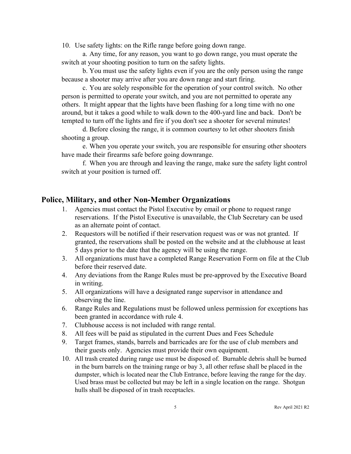10. Use safety lights: on the Rifle range before going down range.

a. Any time, for any reason, you want to go down range, you must operate the switch at your shooting position to turn on the safety lights.

b. You must use the safety lights even if you are the only person using the range because a shooter may arrive after you are down range and start firing.

c. You are solely responsible for the operation of your control switch. No other person is permitted to operate your switch, and you are not permitted to operate any others. It might appear that the lights have been flashing for a long time with no one around, but it takes a good while to walk down to the 400-yard line and back. Don't be tempted to turn off the lights and fire if you don't see a shooter for several minutes!

d. Before closing the range, it is common courtesy to let other shooters finish shooting a group.

e. When you operate your switch, you are responsible for ensuring other shooters have made their firearms safe before going downrange.

f. When you are through and leaving the range, make sure the safety light control switch at your position is turned off.

#### **Police, Military, and other Non-Member Organizations**

- 1. Agencies must contact the Pistol Executive by email or phone to request range reservations. If the Pistol Executive is unavailable, the Club Secretary can be used as an alternate point of contact.
- 2. Requestors will be notified if their reservation request was or was not granted. If granted, the reservations shall be posted on the website and at the clubhouse at least 5 days prior to the date that the agency will be using the range.
- 3. All organizations must have a completed Range Reservation Form on file at the Club before their reserved date.
- 4. Any deviations from the Range Rules must be pre-approved by the Executive Board in writing.
- 5. All organizations will have a designated range supervisor in attendance and observing the line.
- 6. Range Rules and Regulations must be followed unless permission for exceptions has been granted in accordance with rule 4.
- 7. Clubhouse access is not included with range rental.
- 8. All fees will be paid as stipulated in the current Dues and Fees Schedule
- 9. Target frames, stands, barrels and barricades are for the use of club members and their guests only. Agencies must provide their own equipment.
- 10. All trash created during range use must be disposed of. Burnable debris shall be burned in the burn barrels on the training range or bay 3, all other refuse shall be placed in the dumpster, which is located near the Club Entrance, before leaving the range for the day. Used brass must be collected but may be left in a single location on the range. Shotgun hulls shall be disposed of in trash receptacles.